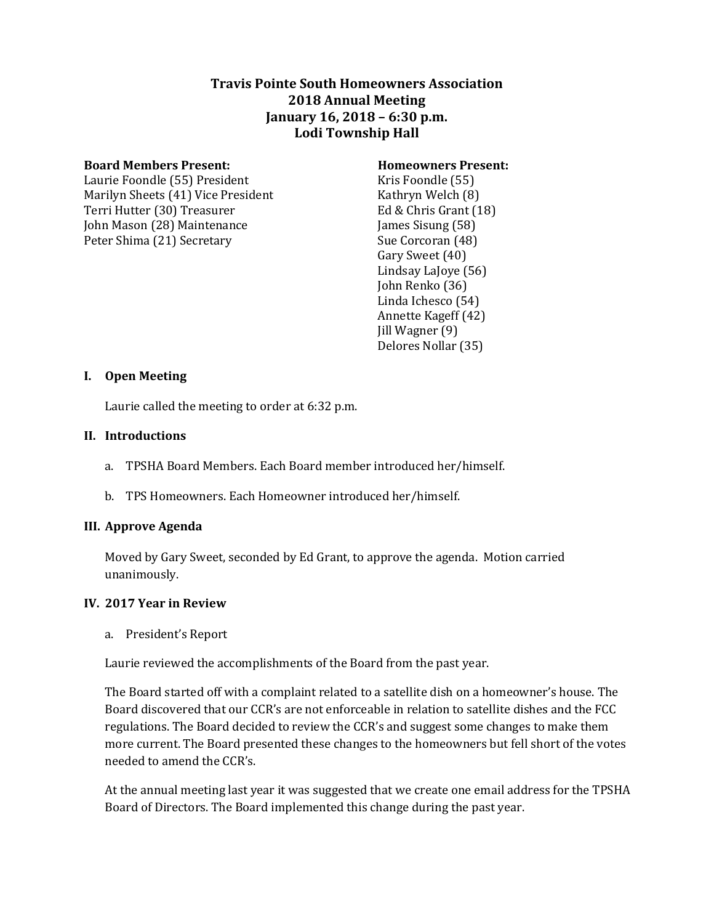# **Travis Pointe South Homeowners Association 2018 Annual Meeting January 16, 2018 – 6:30 p.m. Lodi Township Hall**

#### **Board Members Present: Homeowners Present:**

Laurie Foondle (55) President Kris Foondle (55) Marilyn Sheets (41) Vice President Kathryn Welch (8) Terri Hutter (30) Treasurer Ed & Chris Grant (18) John Mason (28) Maintenance James Sisung (58) Peter Shima (21) Secretary Sue Corcoran (48)

Gary Sweet (40) Lindsay LaJoye (56) John Renko (36) Linda Ichesco (54) Annette Kageff (42) Jill Wagner (9) Delores Nollar (35)

## **I. Open Meeting**

Laurie called the meeting to order at 6:32 p.m.

## **II. Introductions**

- a. TPSHA Board Members. Each Board member introduced her/himself.
- b. TPS Homeowners. Each Homeowner introduced her/himself.

## **III. Approve Agenda**

Moved by Gary Sweet, seconded by Ed Grant, to approve the agenda. Motion carried unanimously.

## **IV. 2017 Year in Review**

a. President's Report

Laurie reviewed the accomplishments of the Board from the past year.

The Board started off with a complaint related to a satellite dish on a homeowner's house. The Board discovered that our CCR's are not enforceable in relation to satellite dishes and the FCC regulations. The Board decided to review the CCR's and suggest some changes to make them more current. The Board presented these changes to the homeowners but fell short of the votes needed to amend the CCR's.

At the annual meeting last year it was suggested that we create one email address for the TPSHA Board of Directors. The Board implemented this change during the past year.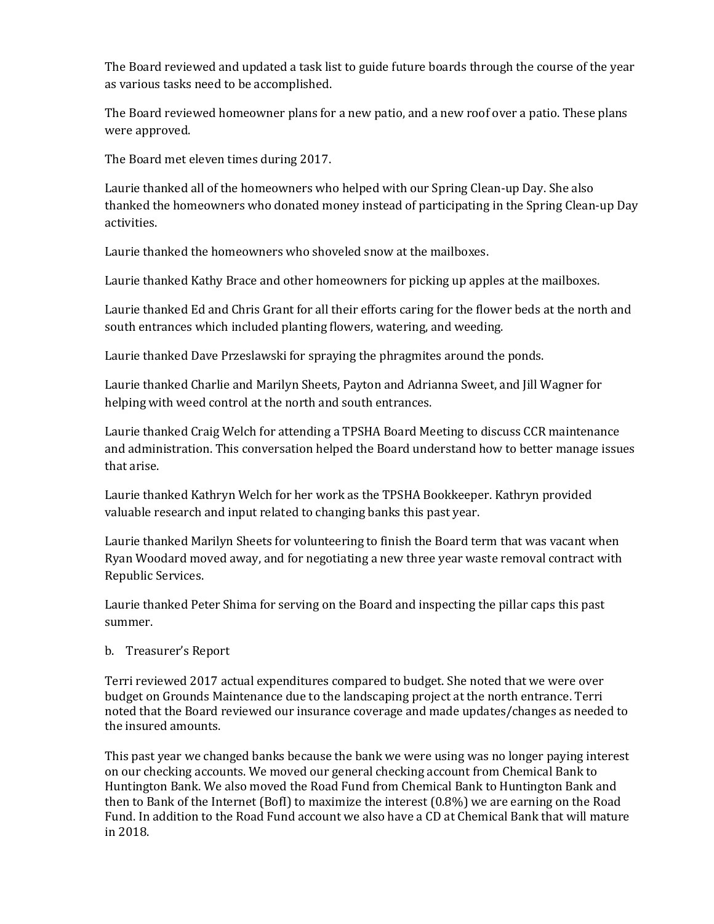The Board reviewed and updated a task list to guide future boards through the course of the year as various tasks need to be accomplished.

The Board reviewed homeowner plans for a new patio, and a new roof over a patio. These plans were approved.

The Board met eleven times during 2017.

Laurie thanked all of the homeowners who helped with our Spring Clean-up Day. She also thanked the homeowners who donated money instead of participating in the Spring Clean-up Day activities.

Laurie thanked the homeowners who shoveled snow at the mailboxes.

Laurie thanked Kathy Brace and other homeowners for picking up apples at the mailboxes.

Laurie thanked Ed and Chris Grant for all their efforts caring for the flower beds at the north and south entrances which included planting flowers, watering, and weeding.

Laurie thanked Dave Przeslawski for spraying the phragmites around the ponds.

Laurie thanked Charlie and Marilyn Sheets, Payton and Adrianna Sweet, and Jill Wagner for helping with weed control at the north and south entrances.

Laurie thanked Craig Welch for attending a TPSHA Board Meeting to discuss CCR maintenance and administration. This conversation helped the Board understand how to better manage issues that arise.

Laurie thanked Kathryn Welch for her work as the TPSHA Bookkeeper. Kathryn provided valuable research and input related to changing banks this past year.

Laurie thanked Marilyn Sheets for volunteering to finish the Board term that was vacant when Ryan Woodard moved away, and for negotiating a new three year waste removal contract with Republic Services.

Laurie thanked Peter Shima for serving on the Board and inspecting the pillar caps this past summer.

## b. Treasurer's Report

Terri reviewed 2017 actual expenditures compared to budget. She noted that we were over budget on Grounds Maintenance due to the landscaping project at the north entrance. Terri noted that the Board reviewed our insurance coverage and made updates/changes as needed to the insured amounts.

This past year we changed banks because the bank we were using was no longer paying interest on our checking accounts. We moved our general checking account from Chemical Bank to Huntington Bank. We also moved the Road Fund from Chemical Bank to Huntington Bank and then to Bank of the Internet (BofI) to maximize the interest (0.8%) we are earning on the Road Fund. In addition to the Road Fund account we also have a CD at Chemical Bank that will mature in 2018.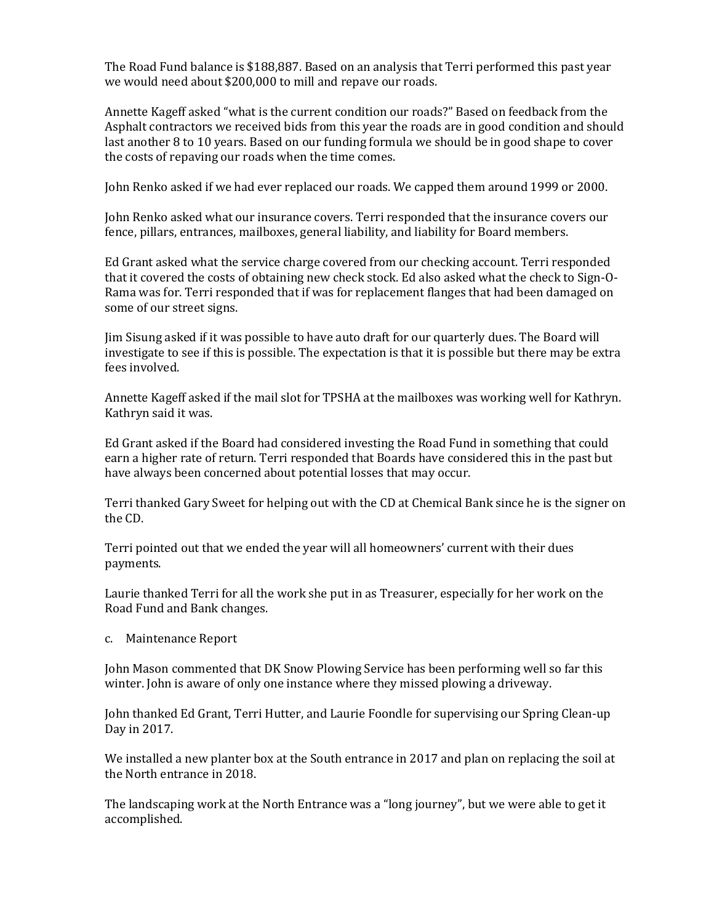The Road Fund balance is \$188,887. Based on an analysis that Terri performed this past year we would need about \$200,000 to mill and repave our roads.

Annette Kageff asked "what is the current condition our roads?" Based on feedback from the Asphalt contractors we received bids from this year the roads are in good condition and should last another 8 to 10 years. Based on our funding formula we should be in good shape to cover the costs of repaving our roads when the time comes.

John Renko asked if we had ever replaced our roads. We capped them around 1999 or 2000.

John Renko asked what our insurance covers. Terri responded that the insurance covers our fence, pillars, entrances, mailboxes, general liability, and liability for Board members.

Ed Grant asked what the service charge covered from our checking account. Terri responded that it covered the costs of obtaining new check stock. Ed also asked what the check to Sign-O-Rama was for. Terri responded that if was for replacement flanges that had been damaged on some of our street signs.

Jim Sisung asked if it was possible to have auto draft for our quarterly dues. The Board will investigate to see if this is possible. The expectation is that it is possible but there may be extra fees involved.

Annette Kageff asked if the mail slot for TPSHA at the mailboxes was working well for Kathryn. Kathryn said it was.

Ed Grant asked if the Board had considered investing the Road Fund in something that could earn a higher rate of return. Terri responded that Boards have considered this in the past but have always been concerned about potential losses that may occur.

Terri thanked Gary Sweet for helping out with the CD at Chemical Bank since he is the signer on the CD.

Terri pointed out that we ended the year will all homeowners' current with their dues payments.

Laurie thanked Terri for all the work she put in as Treasurer, especially for her work on the Road Fund and Bank changes.

c. Maintenance Report

John Mason commented that DK Snow Plowing Service has been performing well so far this winter. John is aware of only one instance where they missed plowing a driveway.

John thanked Ed Grant, Terri Hutter, and Laurie Foondle for supervising our Spring Clean-up Day in 2017.

We installed a new planter box at the South entrance in 2017 and plan on replacing the soil at the North entrance in 2018.

The landscaping work at the North Entrance was a "long journey", but we were able to get it accomplished.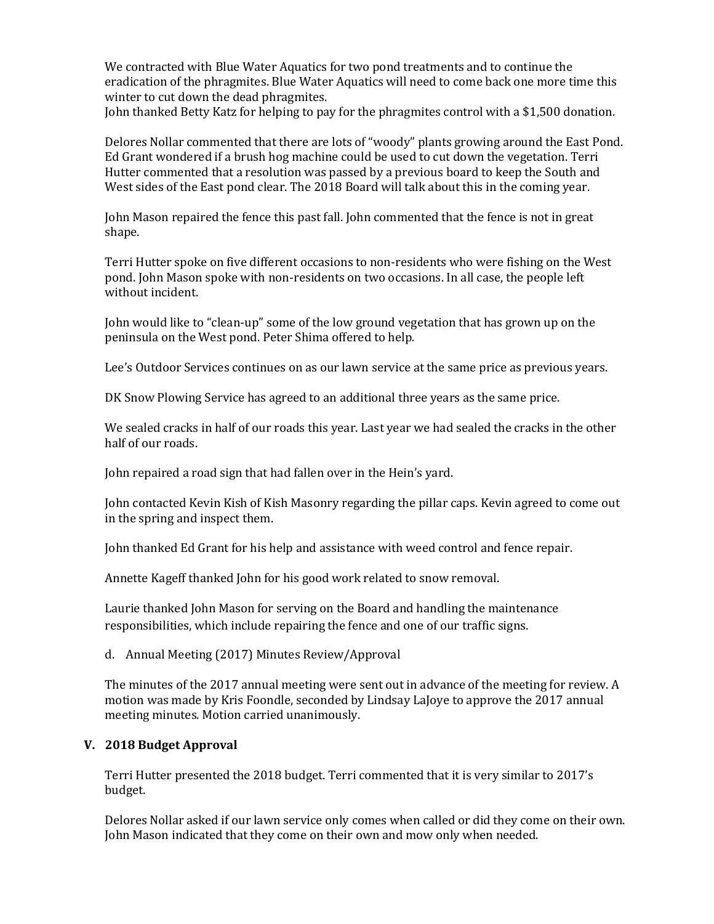We contracted with Blue Water Aquatics for two pond treatments and to continue the eradication of the phragmites. Blue Water Aquatics will need to come back one more time this winter to cut down the dead phragmites.

John thanked Betty Katz for helping to pay for the phragmites control with a \$1,500 donation.

Delores Nollar commented that there are lots of "woody" plants growing around the East Pond. Ed Grant wondered if a brush hog machine could be used to cut down the vegetation. Terri Hutter commented that a resolution was passed by a previous board to keep the South and West sides of the East pond clear. The 2018 Board will talk about this in the coming year.

John Mason repaired the fence this past fall. John commented that the fence is not in great shape.

Terri Hutter spoke on five different occasions to non-residents who were fishing on the West pond. John Mason spoke with non-residents on two occasions. In all case, the people left without incident.

John would like to "clean-up" some of the low ground vegetation that has grown up on the peninsula on the West pond. Peter Shima offered to help.

Lee's Outdoor Services continues on as our lawn service at the same price as previous years.

DK Snow Plowing Service has agreed to an additional three years as the same price.

We sealed cracks in half of our roads this year. Last year we had sealed the cracks in the other half of our roads.

John repaired a road sign that had fallen over in the Hein's yard.

John contacted Kevin Kish of Kish Masonry regarding the pillar caps. Kevin agreed to come out in the spring and inspect them.

John thanked Ed Grant for his help and assistance with weed control and fence repair.

Annette Kageff thanked John for his good work related to snow removal.

Laurie thanked John Mason for serving on the Board and handling the maintenance responsibilities, which include repairing the fence and one of our traffic signs.

## d. Annual Meeting (2017) Minutes Review/Approval

The minutes of the 2017 annual meeting were sent out in advance of the meeting for review. A motion was made by Kris Foondle, seconded by Lindsay LaJoye to approve the 2017 annual meeting minutes. Motion carried unanimously.

## **V. 2018 Budget Approval**

Terri Hutter presented the 2018 budget. Terri commented that it is very similar to 2017's budget.

Delores Nollar asked if our lawn service only comes when called or did they come on their own. John Mason indicated that they come on their own and mow only when needed.